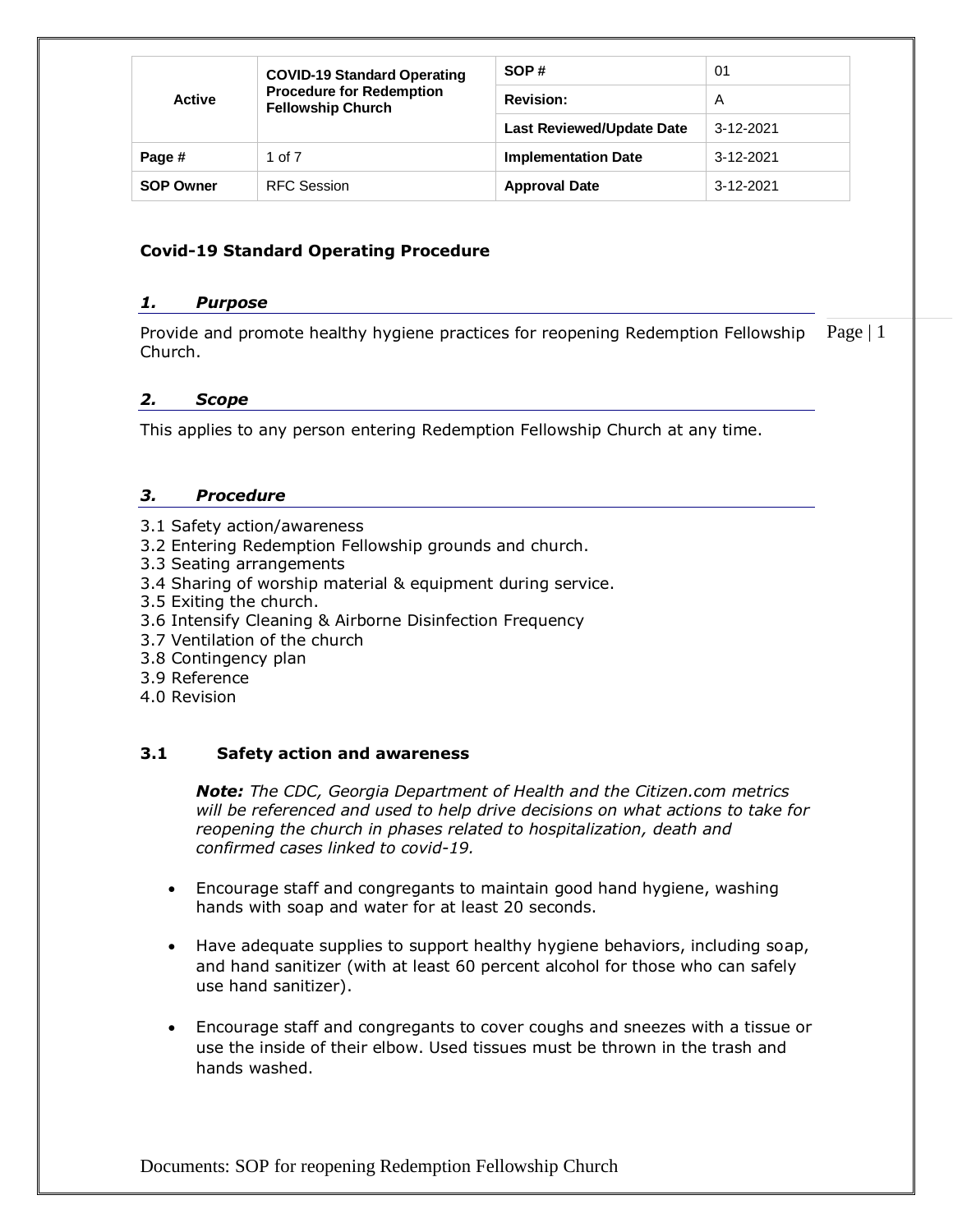|                  | <b>COVID-19 Standard Operating</b>                          | SOP#                             | 01              |
|------------------|-------------------------------------------------------------|----------------------------------|-----------------|
| <b>Active</b>    | <b>Procedure for Redemption</b><br><b>Fellowship Church</b> | <b>Revision:</b>                 | A               |
|                  |                                                             | <b>Last Reviewed/Update Date</b> | $3 - 12 - 2021$ |
| Page #           | 1 of 7                                                      | <b>Implementation Date</b>       | 3-12-2021       |
| <b>SOP Owner</b> | <b>RFC Session</b>                                          | <b>Approval Date</b>             | 3-12-2021       |

## **Covid-19 Standard Operating Procedure**

#### *1. Purpose*

Page  $|1$ Provide and promote healthy hygiene practices for reopening Redemption Fellowship Church.

## *2. Scope*

This applies to any person entering Redemption Fellowship Church at any time.

#### *3. Procedure*

- 3.1 Safety action/awareness
- 3.2 Entering Redemption Fellowship grounds and church.
- 3.3 Seating arrangements
- 3.4 Sharing of worship material & equipment during service.
- 3.5 Exiting the church.
- 3.6 Intensify Cleaning & Airborne Disinfection Frequency
- 3.7 Ventilation of the church
- 3.8 Contingency plan
- 3.9 Reference
- 4.0 Revision

## **3.1 Safety action and awareness**

*Note: The CDC, Georgia Department of Health and the Citizen.com metrics will be referenced and used to help drive decisions on what actions to take for reopening the church in phases related to hospitalization, death and confirmed cases linked to covid-19.*

- Encourage staff and congregants to maintain good hand hygiene, [washing](https://www.cdc.gov/handwashing/when-how-handwashing.html)  [hands](https://www.cdc.gov/handwashing/when-how-handwashing.html) with soap and water for at least 20 seconds.
- Have adequate supplies to support healthy hygiene behaviors, including soap, and hand sanitizer (with at least 60 percent alcohol for those who can safely use hand sanitizer).
- Encourage staff and congregants to cover coughs and sneezes with a tissue or use the inside of their elbow. Used tissues must be thrown in the trash and hands washed.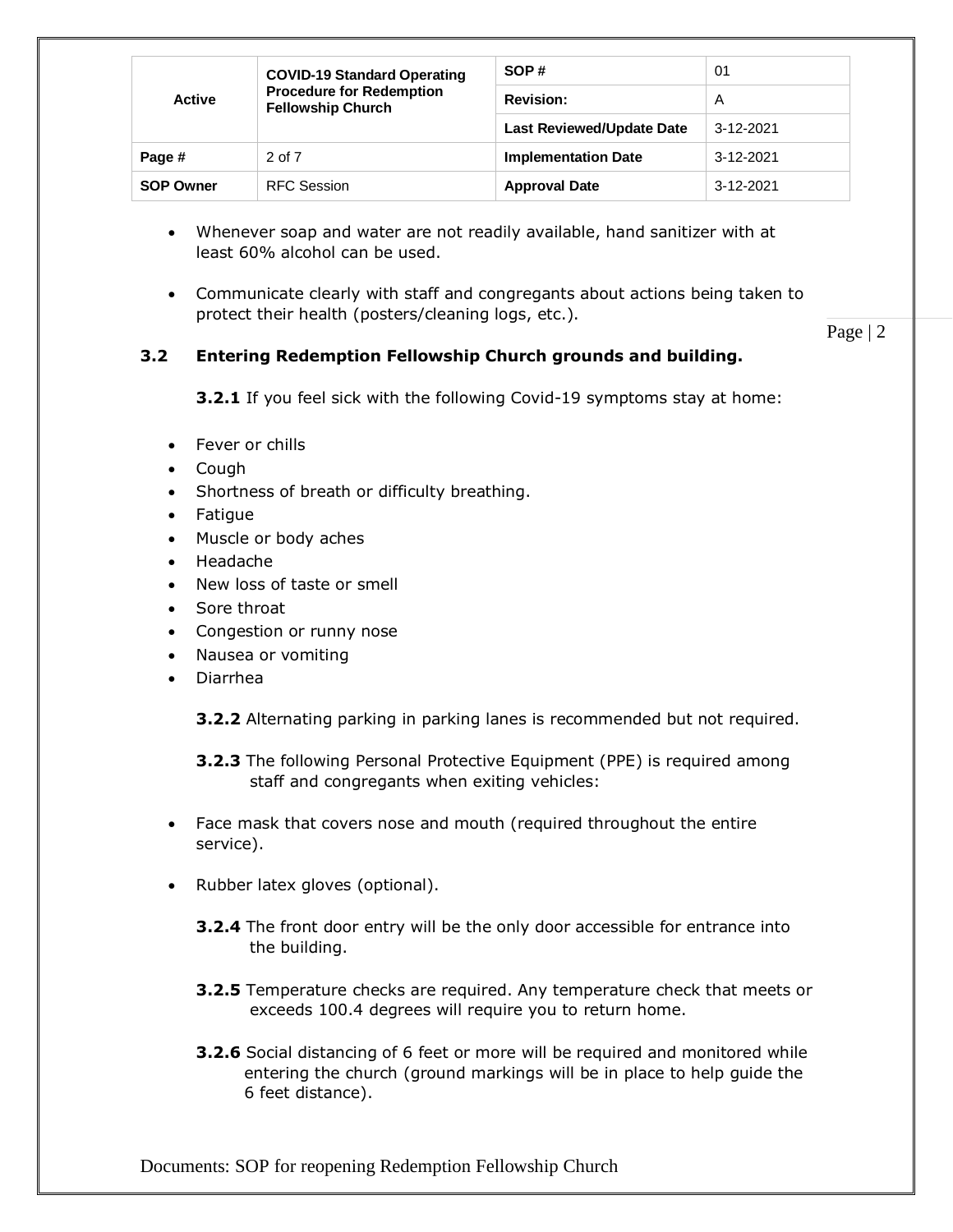|                  | <b>COVID-19 Standard Operating</b>                          | SOP#                             | 01        |
|------------------|-------------------------------------------------------------|----------------------------------|-----------|
| <b>Active</b>    | <b>Procedure for Redemption</b><br><b>Fellowship Church</b> | <b>Revision:</b>                 | A         |
|                  |                                                             | <b>Last Reviewed/Update Date</b> | 3-12-2021 |
| Page #           | $2$ of $7$                                                  | <b>Implementation Date</b>       | 3-12-2021 |
| <b>SOP Owner</b> | <b>RFC Session</b>                                          | <b>Approval Date</b>             | 3-12-2021 |

- Whenever soap and water are not readily available, hand sanitizer with at least 60% alcohol can be used.
- Communicate clearly with staff and congregants about actions being taken to protect their health (posters/cleaning logs, etc.).

Page | 2

# **3.2 Entering Redemption Fellowship Church grounds and building.**

**3.2.1** If you feel sick with the following Covid-19 symptoms stay at home:

- Fever or chills
- Cough
- Shortness of breath or difficulty breathing.
- Fatigue
- Muscle or body aches
- Headache
- New loss of taste or smell
- Sore throat
- Congestion or runny nose
- Nausea or vomiting
- Diarrhea

**3.2.2** Alternating parking in parking lanes is recommended but not required.

**3.2.3** The following Personal Protective Equipment (PPE) is required among staff and congregants when exiting vehicles:

- Face mask that covers nose and mouth (required throughout the entire service).
- Rubber latex gloves (optional).
	- **3.2.4** The front door entry will be the only door accessible for entrance into the building.
	- **3.2.5** Temperature checks are required. Any temperature check that meets or exceeds 100.4 degrees will require you to return home.
	- **3.2.6** Social distancing of 6 feet or more will be required and monitored while entering the church (ground markings will be in place to help guide the 6 feet distance).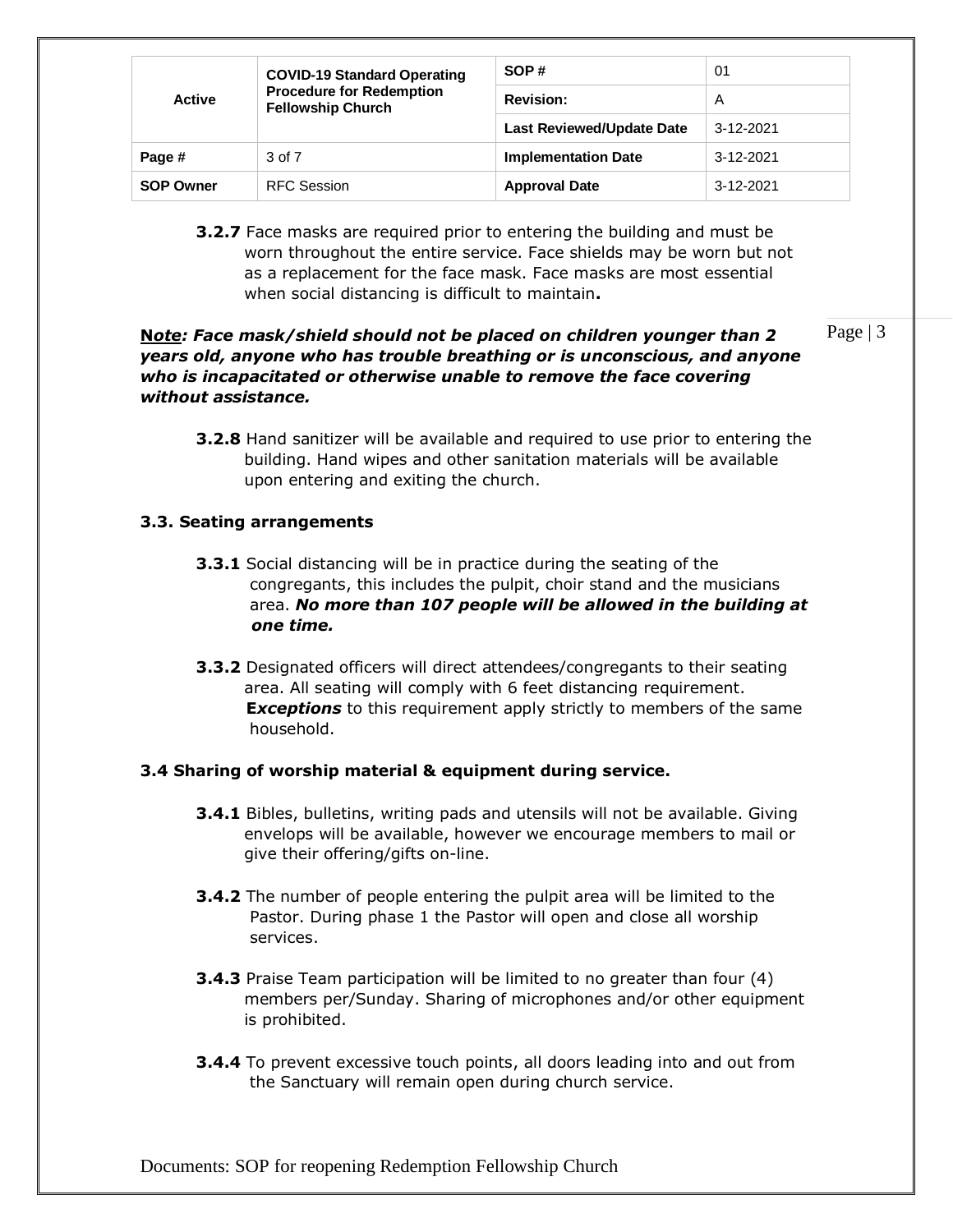|                  | <b>COVID-19 Standard Operating</b>                          | SOP#                             | 01        |
|------------------|-------------------------------------------------------------|----------------------------------|-----------|
| <b>Active</b>    | <b>Procedure for Redemption</b><br><b>Fellowship Church</b> | <b>Revision:</b>                 | A         |
|                  |                                                             | <b>Last Reviewed/Update Date</b> | 3-12-2021 |
| Page #           | 3 of 7                                                      | <b>Implementation Date</b>       | 3-12-2021 |
| <b>SOP Owner</b> | <b>RFC Session</b>                                          | <b>Approval Date</b>             | 3-12-2021 |

**3.2.7** Face masks are required prior to entering the building and must be worn throughout the entire service. Face shields may be worn but not as a replacement for the face mask. Face masks are most essential when [social distancing](https://www.cdc.gov/coronavirus/2019-ncov/prevent-getting-sick/social-distancing.html) is difficult to maintain**.**

## **N***ote: Face mask/shield should not be placed on children younger than 2 years old, anyone who has trouble breathing or is unconscious, and anyone who is incapacitated or otherwise unable to remove the face covering without assistance.*

Page | 3

**3.2.8** Hand sanitizer will be available and required to use prior to entering the building. Hand wipes and other sanitation materials will be available upon entering and exiting the church.

# **3.3. Seating arrangements**

- **3.3.1** Social distancing will be in practice during the seating of the congregants, this includes the pulpit, choir stand and the musicians area. *No more than 107 people will be allowed in the building at one time.*
- **3.3.2** Designated officers will direct attendees/congregants to their seating area. All seating will comply with 6 feet distancing requirement.  **E***xceptions* to this requirement apply strictly to members of the same household.

# **3.4 Sharing of worship material & equipment during service.**

- **3.4.1** Bibles, bulletins, writing pads and utensils will not be available. Giving envelops will be available, however we encourage members to mail or give their offering/gifts on-line.
- **3.4.2** The number of people entering the pulpit area will be limited to the Pastor. During phase 1 the Pastor will open and close all worship services.
- **3.4.3** Praise Team participation will be limited to no greater than four (4) members per/Sunday. Sharing of microphones and/or other equipment is prohibited.
- **3.4.4** To prevent excessive touch points, all doors leading into and out from the Sanctuary will remain open during church service.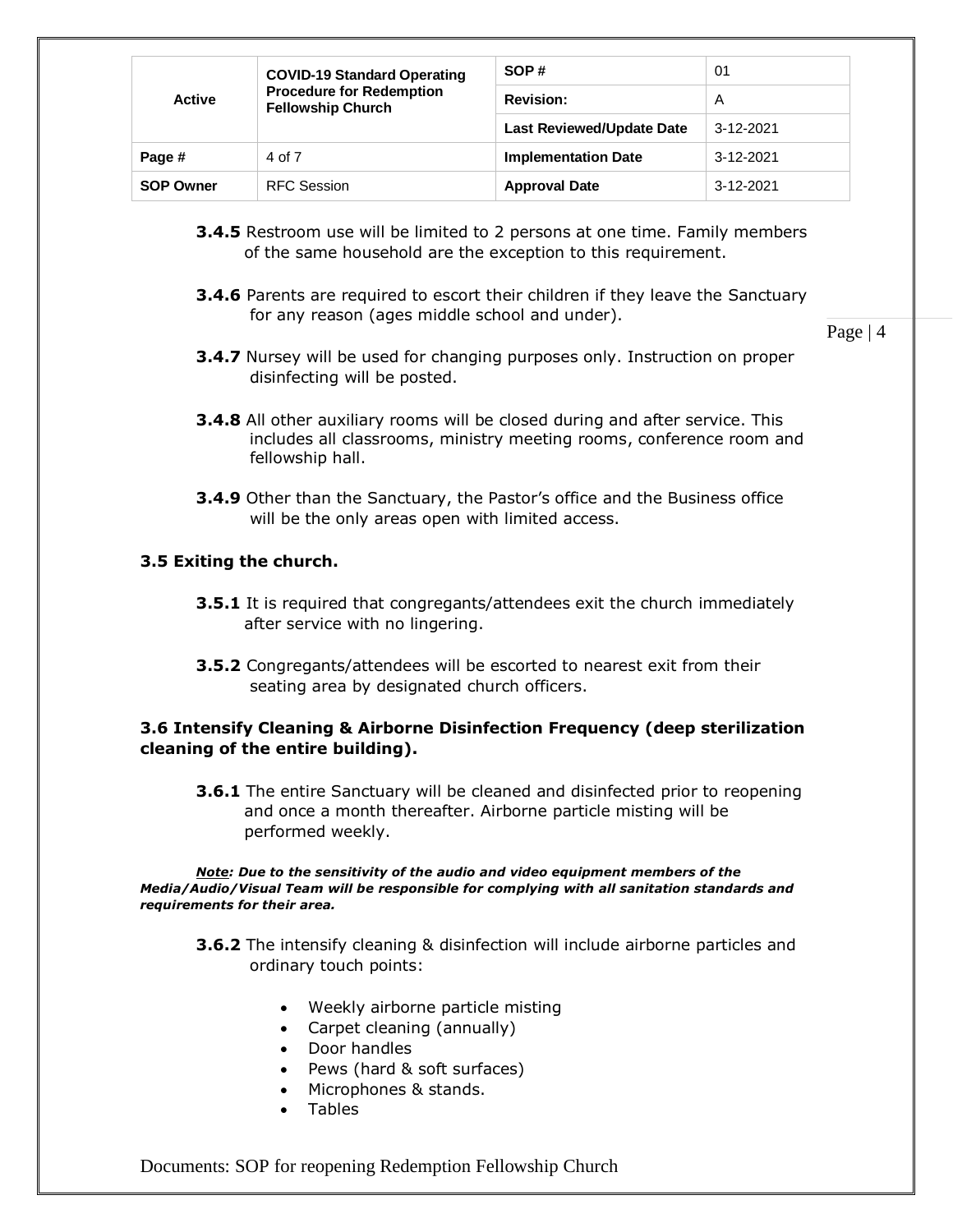|                  | <b>COVID-19 Standard Operating</b>                          | SOP#                             | 01              |
|------------------|-------------------------------------------------------------|----------------------------------|-----------------|
| <b>Active</b>    | <b>Procedure for Redemption</b><br><b>Fellowship Church</b> | <b>Revision:</b>                 | A               |
|                  |                                                             | <b>Last Reviewed/Update Date</b> | $3 - 12 - 2021$ |
| Page #           | 4 of 7                                                      | <b>Implementation Date</b>       | $3 - 12 - 2021$ |
| <b>SOP Owner</b> | <b>RFC Session</b>                                          | <b>Approval Date</b>             | 3-12-2021       |

- **3.4.5** Restroom use will be limited to 2 persons at one time. Family members of the same household are the exception to this requirement.
- **3.4.6** Parents are required to escort their children if they leave the Sanctuary for any reason (ages middle school and under).

Page | 4

- **3.4.7** Nursey will be used for changing purposes only. Instruction on proper disinfecting will be posted.
- **3.4.8** All other auxiliary rooms will be closed during and after service. This includes all classrooms, ministry meeting rooms, conference room and fellowship hall.
- **3.4.9** Other than the Sanctuary, the Pastor's office and the Business office will be the only areas open with limited access.

#### **3.5 Exiting the church.**

- **3.5.1** It is required that congregants/attendees exit the church immediately after service with no lingering.
- **3.5.2** Congregants/attendees will be escorted to nearest exit from their seating area by designated church officers.

#### **3.6 Intensify Cleaning & Airborne Disinfection Frequency (deep sterilization cleaning of the entire building).**

**3.6.1** The entire Sanctuary will be cleaned and disinfected prior to reopening and once a month thereafter. Airborne particle misting will be performed weekly.

*Note: Due to the sensitivity of the audio and video equipment members of the Media/Audio/Visual Team will be responsible for complying with all sanitation standards and requirements for their area.*

- **3.6.2** The intensify cleaning & disinfection will include airborne particles and ordinary touch points:
	- Weekly airborne particle misting
	- Carpet cleaning (annually)
	- Door handles
	- Pews (hard & soft surfaces)
	- Microphones & stands.
	- Tables

Documents: SOP for reopening Redemption Fellowship Church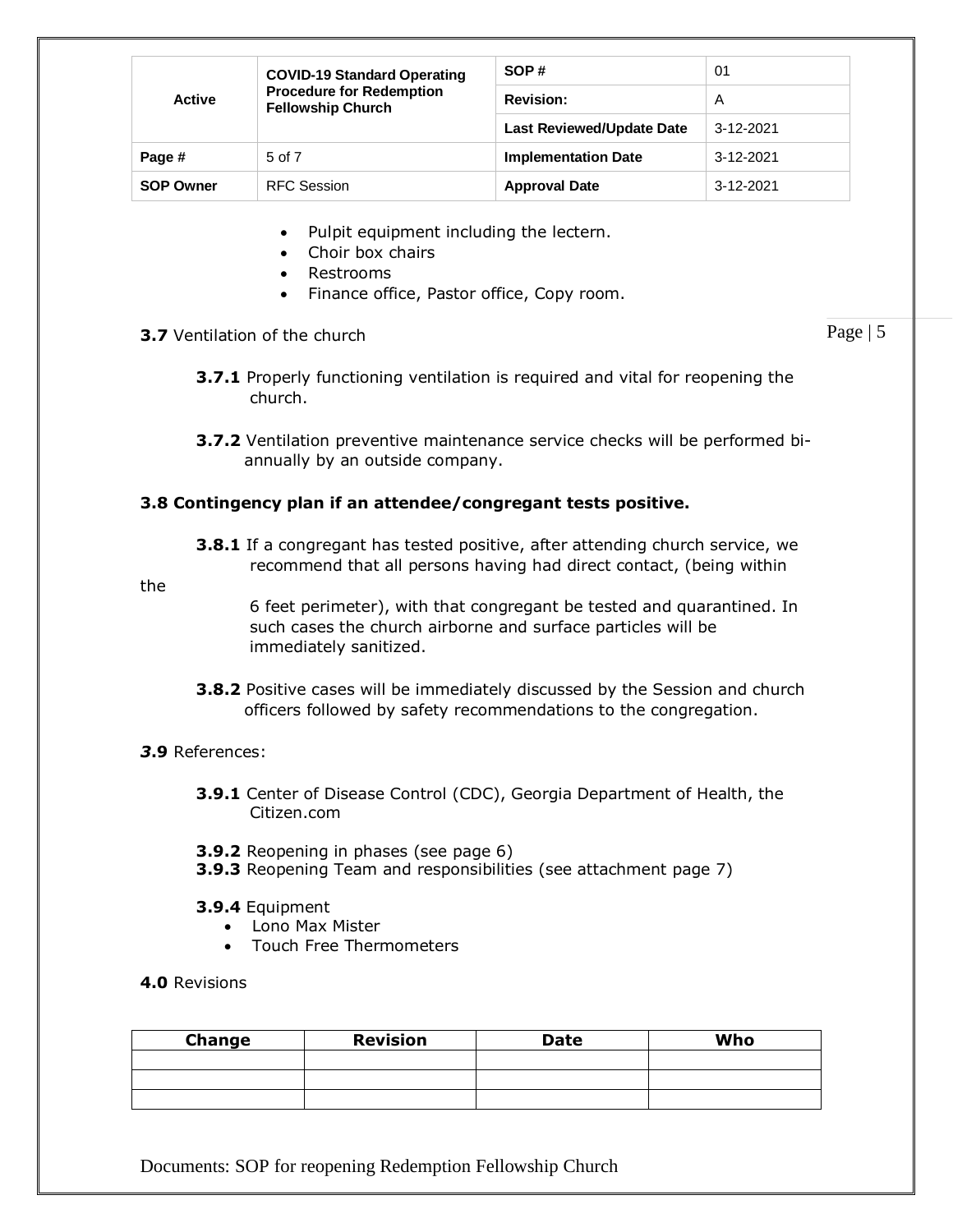|                  | <b>COVID-19 Standard Operating</b>                          | SOP#                             | 01              |
|------------------|-------------------------------------------------------------|----------------------------------|-----------------|
| Active           | <b>Procedure for Redemption</b><br><b>Fellowship Church</b> | <b>Revision:</b>                 | A               |
|                  |                                                             | <b>Last Reviewed/Update Date</b> | $3 - 12 - 2021$ |
| Page #           | 5 of 7                                                      | <b>Implementation Date</b>       | 3-12-2021       |
| <b>SOP Owner</b> | <b>RFC Session</b>                                          | <b>Approval Date</b>             | 3-12-2021       |

- Pulpit equipment including the lectern.
- Choir box chairs
- Restrooms
- Finance office, Pastor office, Copy room.

## **3.7** Ventilation of the church

**3.7.1** Properly functioning ventilation is required and vital for reopening the church.

Page | 5

**3.7.2** Ventilation preventive maintenance service checks will be performed bi annually by an outside company.

## **3.8 Contingency plan if an attendee/congregant tests positive.**

**3.8.1** If a congregant has tested positive, after attending church service, we recommend that all persons having had direct contact, (being within

the

 6 feet perimeter), with that congregant be tested and quarantined. In such cases the church airborne and surface particles will be immediately sanitized.

**3.8.2** Positive cases will be immediately discussed by the Session and church officers followed by safety recommendations to the congregation.

#### *3***.9** References:

- **3.9.1** Center of Disease Control (CDC), Georgia Department of Health, the Citizen.com
- **3.9.2** Reopening in phases (see page 6)
- **3.9.3** Reopening Team and responsibilities (see attachment page 7)
- **3.9.4** Equipment
	- Lono Max Mister
	- Touch Free Thermometers
- **4.0** Revisions

| <b>Change</b> | <b>Revision</b> | Date | Who |
|---------------|-----------------|------|-----|
|               |                 |      |     |
|               |                 |      |     |
|               |                 |      |     |

Documents: SOP for reopening Redemption Fellowship Church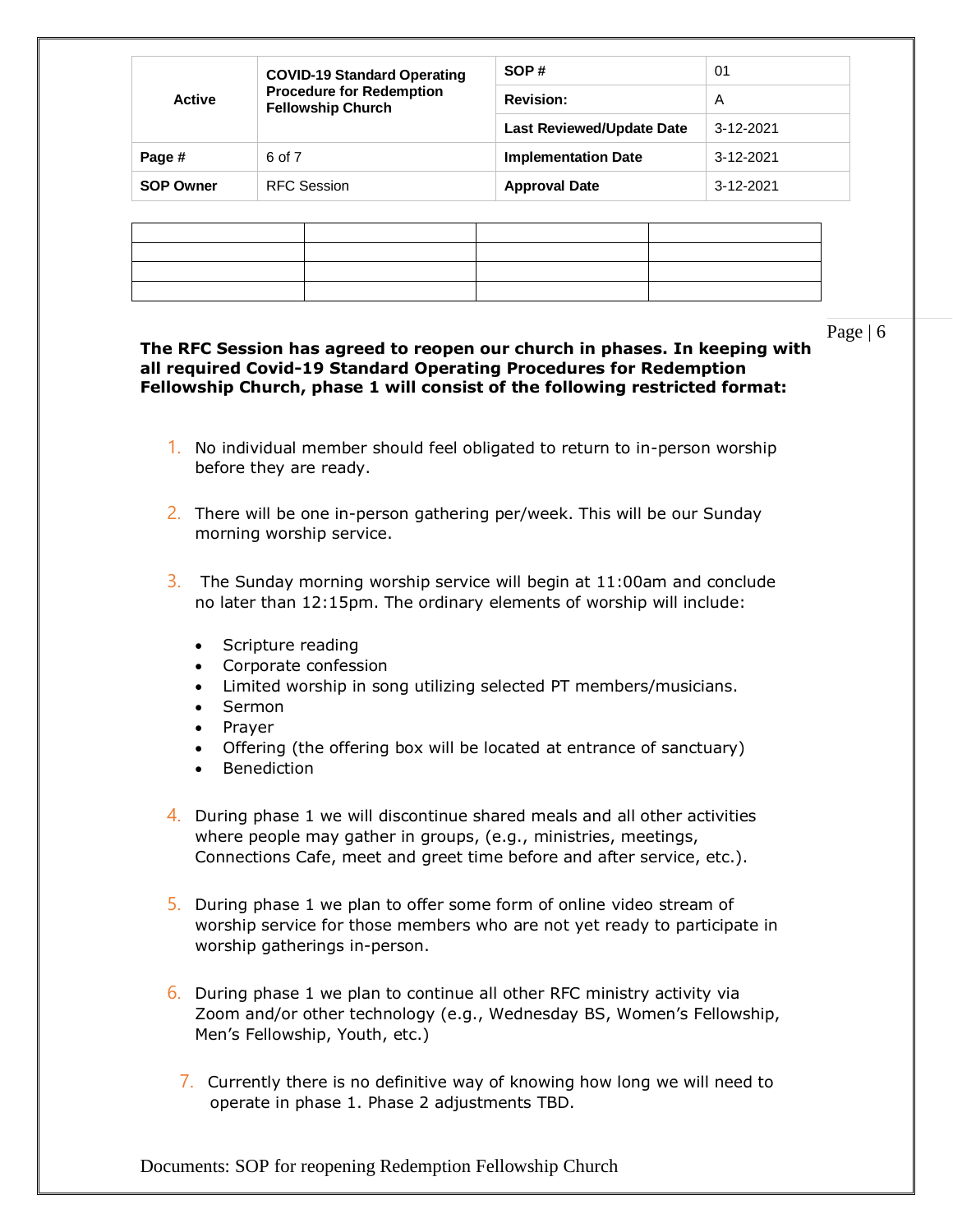|                  | SOP#<br><b>COVID-19 Standard Operating</b>                  | 01                               |                 |
|------------------|-------------------------------------------------------------|----------------------------------|-----------------|
| <b>Active</b>    | <b>Procedure for Redemption</b><br><b>Fellowship Church</b> | <b>Revision:</b>                 | A               |
|                  |                                                             | <b>Last Reviewed/Update Date</b> | $3 - 12 - 2021$ |
| Page #           | 6 of 7                                                      | <b>Implementation Date</b>       | 3-12-2021       |
| <b>SOP Owner</b> | <b>RFC Session</b>                                          | <b>Approval Date</b>             | 3-12-2021       |

## Page | 6

#### **The RFC Session has agreed to reopen our church in phases. In keeping with all required Covid-19 Standard Operating Procedures for Redemption Fellowship Church, phase 1 will consist of the following restricted format:**

- 1. No individual member should feel obligated to return to in-person worship before they are ready.
- 2. There will be one in-person gathering per/week. This will be our Sunday morning worship service.
- $3.$  The Sunday morning worship service will begin at 11:00am and conclude no later than 12:15pm. The ordinary elements of worship will include:
	- Scripture reading
	- Corporate confession
	- Limited worship in song utilizing selected PT members/musicians.
	- Sermon
	- Prayer
	- Offering (the offering box will be located at entrance of sanctuary)
	- Benediction
- 4. During phase 1 we will discontinue shared meals and all other activities where people may gather in groups, (e.g., ministries, meetings, Connections Cafe, meet and greet time before and after service, etc.).
- 5. During phase 1 we plan to offer some form of online video stream of worship service for those members who are not yet ready to participate in worship gatherings in-person.
- $6.$  During phase 1 we plan to continue all other RFC ministry activity via Zoom and/or other technology (e.g., Wednesday BS, Women's Fellowship, Men's Fellowship, Youth, etc.)
	- 7. Currently there is no definitive way of knowing how long we will need to operate in phase 1. Phase 2 adjustments TBD.

Documents: SOP for reopening Redemption Fellowship Church